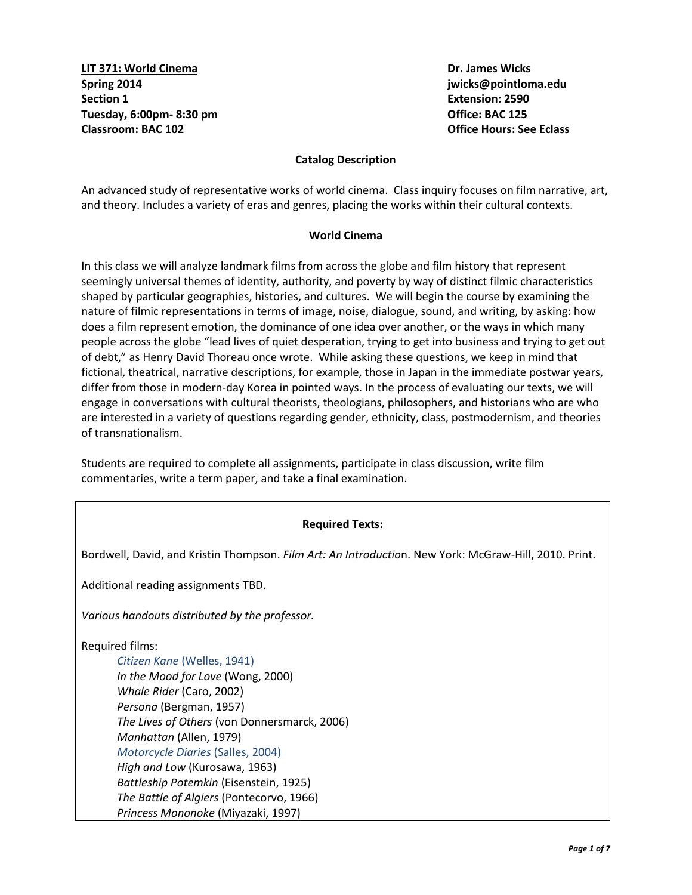**LIT 371: World Cinema Dr. James Wicks Spring 2014 jwicks@pointloma.edu Section 1** Extension: 2590 **Tuesday, 6:00pm- 8:30 pm Office: BAC 125 Classroom: BAC 102 Office Hours: See Eclass**

## **Catalog Description**

An advanced study of representative works of world cinema. Class inquiry focuses on film narrative, art, and theory. Includes a variety of eras and genres, placing the works within their cultural contexts.

## **World Cinema**

In this class we will analyze landmark films from across the globe and film history that represent seemingly universal themes of identity, authority, and poverty by way of distinct filmic characteristics shaped by particular geographies, histories, and cultures. We will begin the course by examining the nature of filmic representations in terms of image, noise, dialogue, sound, and writing, by asking: how does a film represent emotion, the dominance of one idea over another, or the ways in which many people across the globe "lead lives of quiet desperation, trying to get into business and trying to get out of debt," as Henry David Thoreau once wrote. While asking these questions, we keep in mind that fictional, theatrical, narrative descriptions, for example, those in Japan in the immediate postwar years, differ from those in modern-day Korea in pointed ways. In the process of evaluating our texts, we will engage in conversations with cultural theorists, theologians, philosophers, and historians who are who are interested in a variety of questions regarding gender, ethnicity, class, postmodernism, and theories of transnationalism.

Students are required to complete all assignments, participate in class discussion, write film commentaries, write a term paper, and take a final examination.

## **Required Texts:**

Bordwell, David, and Kristin Thompson. *Film Art: An Introductio*n. New York: McGraw-Hill, 2010. Print.

Additional reading assignments TBD.

*Various handouts distributed by the professor.*

Required films:

*Citizen Kane* (Welles, 1941) *In the Mood for Love* (Wong, 2000) *Whale Rider* (Caro, 2002) *Persona* (Bergman, 1957) *The Lives of Others* (von Donnersmarck, 2006) *Manhattan* (Allen, 1979) *Motorcycle Diaries* (Salles, 2004) *High and Low* (Kurosawa, 1963) *Battleship Potemkin* (Eisenstein, 1925) *The Battle of Algiers* (Pontecorvo, 1966) *Princess Mononoke* (Miyazaki, 1997)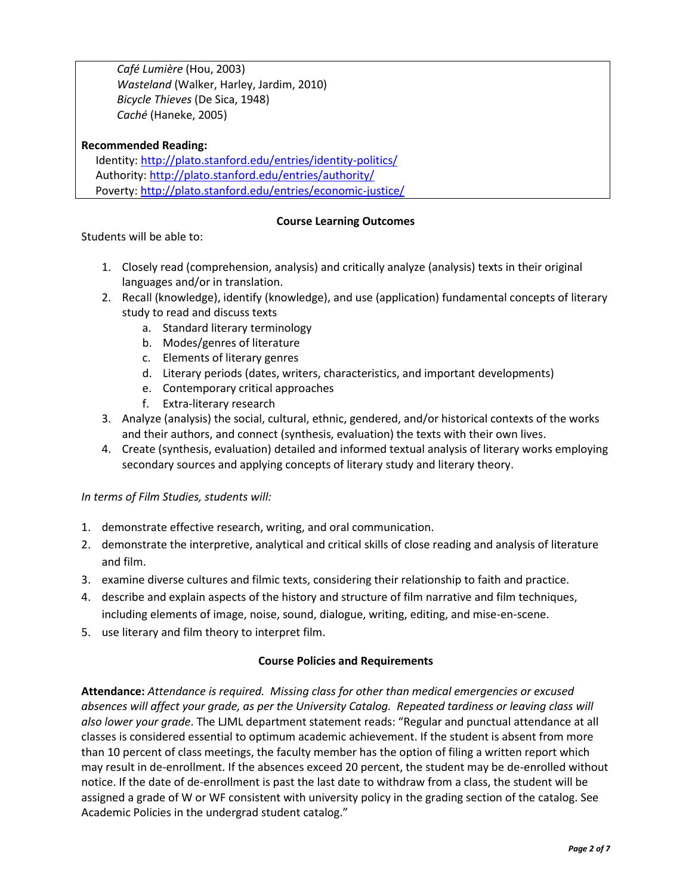*Café Lumière* (Hou, 2003) *Wasteland* (Walker, Harley, Jardim, 2010) *Bicycle Thieves* (De Sica, 1948) *Caché* (Haneke, 2005)

## **Recommended Reading:**

 Identity[: http://plato.stanford.edu/entries/identity-politics/](http://plato.stanford.edu/entries/identity-politics/) Authority:<http://plato.stanford.edu/entries/authority/> Poverty:<http://plato.stanford.edu/entries/economic-justice/>

# **Course Learning Outcomes**

Students will be able to:

- 1. Closely read (comprehension, analysis) and critically analyze (analysis) texts in their original languages and/or in translation.
- 2. Recall (knowledge), identify (knowledge), and use (application) fundamental concepts of literary study to read and discuss texts
	- a. Standard literary terminology
	- b. Modes/genres of literature
	- c. Elements of literary genres
	- d. Literary periods (dates, writers, characteristics, and important developments)
	- e. Contemporary critical approaches
	- f. Extra-literary research
- 3. Analyze (analysis) the social, cultural, ethnic, gendered, and/or historical contexts of the works and their authors, and connect (synthesis, evaluation) the texts with their own lives.
- 4. Create (synthesis, evaluation) detailed and informed textual analysis of literary works employing secondary sources and applying concepts of literary study and literary theory.

*In terms of Film Studies, students will:*

- 1. demonstrate effective research, writing, and oral communication.
- 2. demonstrate the interpretive, analytical and critical skills of close reading and analysis of literature and film.
- 3. examine diverse cultures and filmic texts, considering their relationship to faith and practice.
- 4. describe and explain aspects of the history and structure of film narrative and film techniques, including elements of image, noise, sound, dialogue, writing, editing, and mise-en-scene.
- 5. use literary and film theory to interpret film.

## **Course Policies and Requirements**

**Attendance:** *Attendance is required. Missing class for other than medical emergencies or excused absences will affect your grade, as per the University Catalog. Repeated tardiness or leaving class will also lower your grade*. The LJML department statement reads: "Regular and punctual attendance at all classes is considered essential to optimum academic achievement. If the student is absent from more than 10 percent of class meetings, the faculty member has the option of filing a written report which may result in de-enrollment. If the absences exceed 20 percent, the student may be de-enrolled without notice. If the date of de-enrollment is past the last date to withdraw from a class, the student will be assigned a grade of W or WF consistent with university policy in the grading section of the catalog. See Academic Policies in the undergrad student catalog."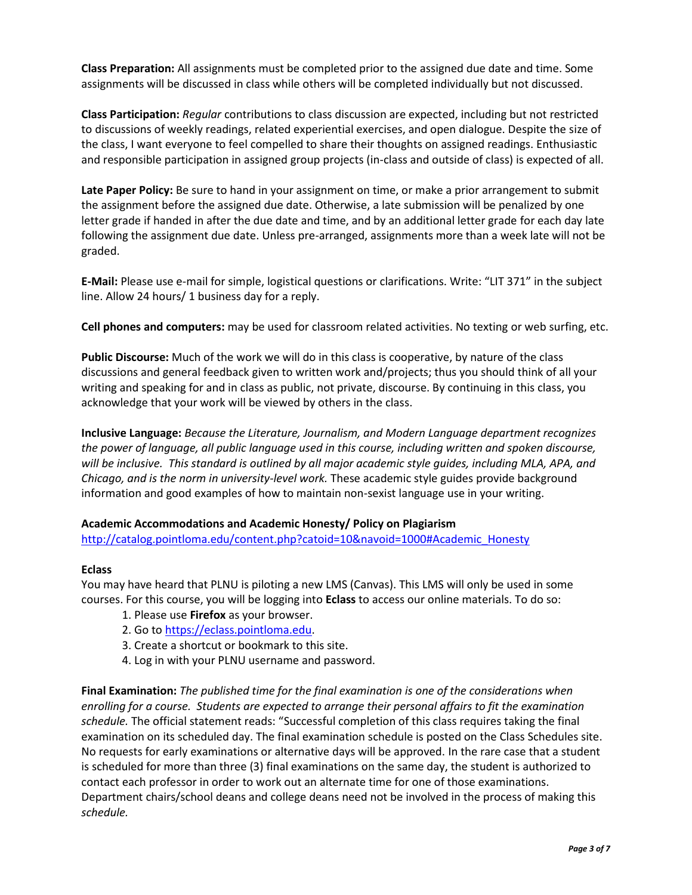**Class Preparation:** All assignments must be completed prior to the assigned due date and time. Some assignments will be discussed in class while others will be completed individually but not discussed.

**Class Participation:** *Regular* contributions to class discussion are expected, including but not restricted to discussions of weekly readings, related experiential exercises, and open dialogue. Despite the size of the class, I want everyone to feel compelled to share their thoughts on assigned readings. Enthusiastic and responsible participation in assigned group projects (in-class and outside of class) is expected of all.

**Late Paper Policy:** Be sure to hand in your assignment on time, or make a prior arrangement to submit the assignment before the assigned due date. Otherwise, a late submission will be penalized by one letter grade if handed in after the due date and time, and by an additional letter grade for each day late following the assignment due date. Unless pre-arranged, assignments more than a week late will not be graded.

**E-Mail:** Please use e-mail for simple, logistical questions or clarifications. Write: "LIT 371" in the subject line. Allow 24 hours/ 1 business day for a reply.

**Cell phones and computers:** may be used for classroom related activities. No texting or web surfing, etc.

**Public Discourse:** Much of the work we will do in this class is cooperative, by nature of the class discussions and general feedback given to written work and/projects; thus you should think of all your writing and speaking for and in class as public, not private, discourse. By continuing in this class, you acknowledge that your work will be viewed by others in the class.

**Inclusive Language:** *Because the Literature, Journalism, and Modern Language department recognizes the power of language, all public language used in this course, including written and spoken discourse, will be inclusive. This standard is outlined by all major academic style guides, including MLA, APA, and Chicago, and is the norm in university-level work.* These academic style guides provide background information and good examples of how to maintain non-sexist language use in your writing.

## **Academic Accommodations and Academic Honesty/ Policy on Plagiarism**

[http://catalog.pointloma.edu/content.php?catoid=10&navoid=1000#Academic\\_Honesty](http://catalog.pointloma.edu/content.php?catoid=10&navoid=1000#Academic_Honesty)

## **Eclass**

You may have heard that PLNU is piloting a new LMS (Canvas). This LMS will only be used in some courses. For this course, you will be logging into **Eclass** to access our online materials. To do so:

- 1. Please use **Firefox** as your browser.
- 2. Go to [https://eclass.pointloma.edu.](https://eclass.pointloma.edu/)
- 3. Create a shortcut or bookmark to this site.
- 4. Log in with your PLNU username and password.

**Final Examination:** *The published time for the final examination is one of the considerations when enrolling for a course. Students are expected to arrange their personal affairs to fit the examination schedule.* The official statement reads: "Successful completion of this class requires taking the final examination on its scheduled day. The final examination schedule is posted on the Class Schedules site. No requests for early examinations or alternative days will be approved. In the rare case that a student is scheduled for more than three (3) final examinations on the same day, the student is authorized to contact each professor in order to work out an alternate time for one of those examinations. Department chairs/school deans and college deans need not be involved in the process of making this *schedule.*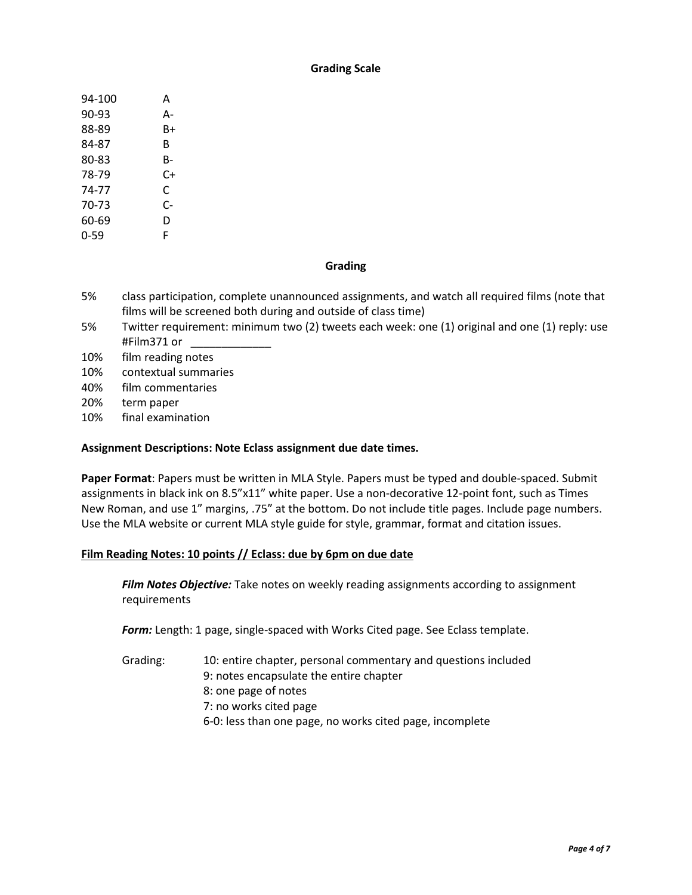## **Grading Scale**

| 94-100 | А  |
|--------|----|
| 90-93  | А- |
| 88-89  | B+ |
| 84-87  | R  |
| 80-83  | B- |
| 78-79  | C+ |
| 74-77  | C  |
| 70-73  | C- |
| 60-69  | D  |
| 0-59   | F  |

## **Grading**

- 5% class participation, complete unannounced assignments, and watch all required films (note that films will be screened both during and outside of class time)
- 5% Twitter requirement: minimum two (2) tweets each week: one (1) original and one (1) reply: use #Film371 or \_\_\_\_\_\_\_\_\_\_\_\_\_
- 10% film reading notes
- 10% contextual summaries
- 40% film commentaries
- 20% term paper
- 10% final examination

## **Assignment Descriptions: Note Eclass assignment due date times.**

**Paper Format**: Papers must be written in MLA Style. Papers must be typed and double-spaced. Submit assignments in black ink on 8.5"x11" white paper. Use a non-decorative 12-point font, such as Times New Roman, and use 1" margins, .75" at the bottom. Do not include title pages. Include page numbers. Use the MLA website or current MLA style guide for style, grammar, format and citation issues.

## **Film Reading Notes: 10 points // Eclass: due by 6pm on due date**

*Film Notes Objective:* Take notes on weekly reading assignments according to assignment requirements

*Form:* Length: 1 page, single-spaced with Works Cited page. See Eclass template.

Grading: 10: entire chapter, personal commentary and questions included 9: notes encapsulate the entire chapter 8: one page of notes 7: no works cited page 6-0: less than one page, no works cited page, incomplete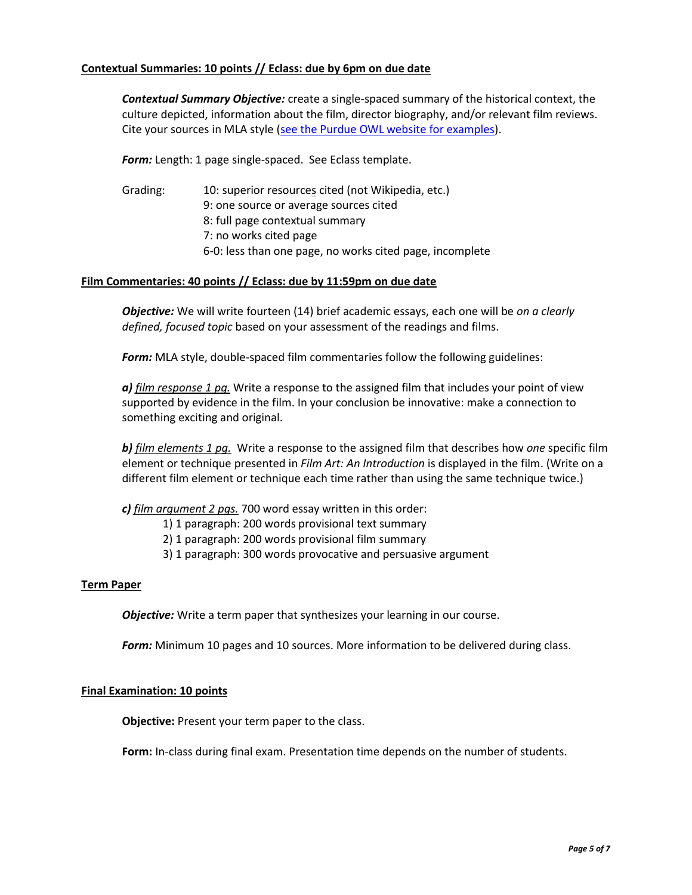# **Contextual Summaries: 10 points // Eclass: due by 6pm on due date**

*Contextual Summary Objective:* create a single-spaced summary of the historical context, the culture depicted, information about the film, director biography, and/or relevant film reviews. Cite your sources in MLA style [\(see the Purdue OWL website for examples\)](https://owl.english.purdue.edu/owl/resource/747/08/).

**Form:** Length: 1 page single-spaced. See Eclass template.

Grading: 10: superior resources cited (not Wikipedia, etc.) 9: one source or average sources cited 8: full page contextual summary 7: no works cited page 6-0: less than one page, no works cited page, incomplete

## **Film Commentaries: 40 points // Eclass: due by 11:59pm on due date**

*Objective:* We will write fourteen (14) brief academic essays, each one will be *on a clearly defined, focused topic* based on your assessment of the readings and films.

*Form:* MLA style, double-spaced film commentaries follow the following guidelines:

*a) film response 1 pg.* Write a response to the assigned film that includes your point of view supported by evidence in the film. In your conclusion be innovative: make a connection to something exciting and original.

*b) film elements 1 pg.* Write a response to the assigned film that describes how *one* specific film element or technique presented in *Film Art: An Introduction* is displayed in the film. (Write on a different film element or technique each time rather than using the same technique twice.)

# *c) film argument 2 pgs.* 700 word essay written in this order:

- 1) 1 paragraph: 200 words provisional text summary
- 2) 1 paragraph: 200 words provisional film summary
- 3) 1 paragraph: 300 words provocative and persuasive argument

## **Term Paper**

*Objective:* Write a term paper that synthesizes your learning in our course.

*Form:* Minimum 10 pages and 10 sources. More information to be delivered during class.

## **Final Examination: 10 points**

**Objective:** Present your term paper to the class.

**Form:** In-class during final exam. Presentation time depends on the number of students.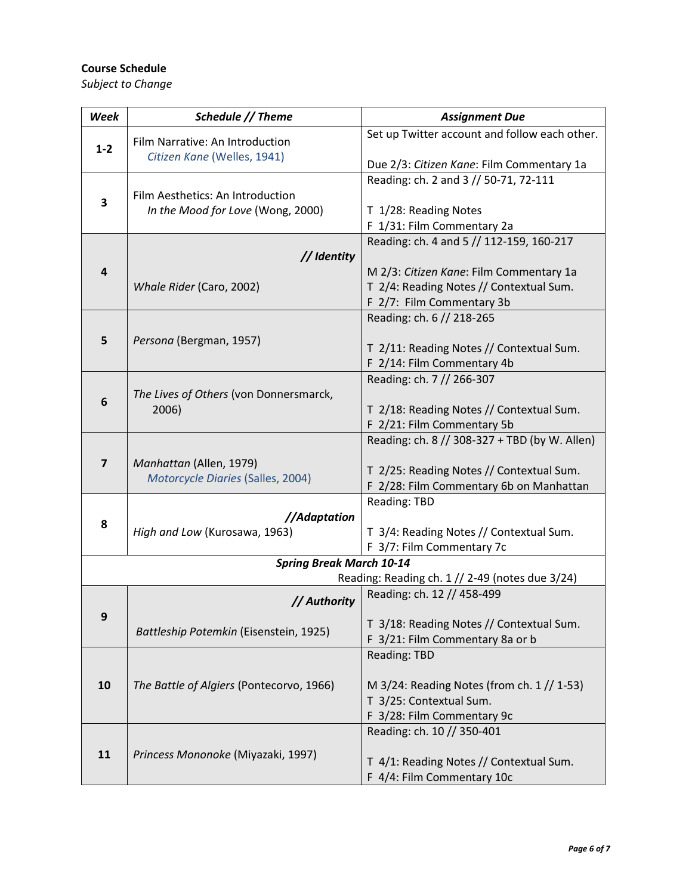# **Course Schedule**

*Subject to Change* 

| Week                            | Schedule // Theme                                                             | <b>Assignment Due</b>                         |  |  |
|---------------------------------|-------------------------------------------------------------------------------|-----------------------------------------------|--|--|
|                                 | Film Narrative: An Introduction                                               | Set up Twitter account and follow each other. |  |  |
| $1 - 2$                         | Citizen Kane (Welles, 1941)                                                   |                                               |  |  |
|                                 |                                                                               | Due 2/3: Citizen Kane: Film Commentary 1a     |  |  |
|                                 |                                                                               | Reading: ch. 2 and 3 // 50-71, 72-111         |  |  |
| 3                               | Film Aesthetics: An Introduction                                              |                                               |  |  |
|                                 | In the Mood for Love (Wong, 2000)                                             | T 1/28: Reading Notes                         |  |  |
|                                 |                                                                               | F 1/31: Film Commentary 2a                    |  |  |
|                                 | // Identity                                                                   | Reading: ch. 4 and 5 // 112-159, 160-217      |  |  |
| $\overline{\mathbf{r}}$         |                                                                               | M 2/3: Citizen Kane: Film Commentary 1a       |  |  |
|                                 | Whale Rider (Caro, 2002)                                                      | T 2/4: Reading Notes // Contextual Sum.       |  |  |
|                                 |                                                                               | F 2/7: Film Commentary 3b                     |  |  |
|                                 |                                                                               | Reading: ch. 6 // 218-265                     |  |  |
|                                 |                                                                               |                                               |  |  |
| 5                               | Persona (Bergman, 1957)                                                       | T 2/11: Reading Notes // Contextual Sum.      |  |  |
|                                 |                                                                               | F 2/14: Film Commentary 4b                    |  |  |
|                                 |                                                                               | Reading: ch. 7 // 266-307                     |  |  |
| 6                               | The Lives of Others (von Donnersmarck,                                        |                                               |  |  |
|                                 | 2006)                                                                         | T 2/18: Reading Notes // Contextual Sum.      |  |  |
|                                 |                                                                               | F 2/21: Film Commentary 5b                    |  |  |
|                                 |                                                                               | Reading: ch. 8 // 308-327 + TBD (by W. Allen) |  |  |
| $\overline{7}$                  | Manhattan (Allen, 1979)                                                       |                                               |  |  |
|                                 | Motorcycle Diaries (Salles, 2004)                                             | T 2/25: Reading Notes // Contextual Sum.      |  |  |
|                                 |                                                                               | F 2/28: Film Commentary 6b on Manhattan       |  |  |
|                                 |                                                                               | <b>Reading: TBD</b>                           |  |  |
| 8                               | //Adaptation                                                                  |                                               |  |  |
|                                 | High and Low (Kurosawa, 1963)                                                 | T 3/4: Reading Notes // Contextual Sum.       |  |  |
|                                 | F 3/7: Film Commentary 7c                                                     |                                               |  |  |
| <b>Spring Break March 10-14</b> |                                                                               |                                               |  |  |
|                                 | Reading: Reading ch. 1 // 2-49 (notes due 3/24)<br>Reading: ch. 12 // 458-499 |                                               |  |  |
|                                 | // Authority                                                                  |                                               |  |  |
| 9                               |                                                                               | T 3/18: Reading Notes // Contextual Sum.      |  |  |
|                                 | Battleship Potemkin (Eisenstein, 1925)                                        | F 3/21: Film Commentary 8a or b               |  |  |
|                                 |                                                                               | <b>Reading: TBD</b>                           |  |  |
|                                 |                                                                               |                                               |  |  |
| 10                              | The Battle of Algiers (Pontecorvo, 1966)                                      | M 3/24: Reading Notes (from ch. 1 // 1-53)    |  |  |
|                                 |                                                                               | T 3/25: Contextual Sum.                       |  |  |
|                                 |                                                                               | F 3/28: Film Commentary 9c                    |  |  |
|                                 |                                                                               | Reading: ch. 10 // 350-401                    |  |  |
| 11                              | Princess Mononoke (Miyazaki, 1997)                                            |                                               |  |  |
|                                 |                                                                               | T 4/1: Reading Notes // Contextual Sum.       |  |  |
|                                 |                                                                               | F 4/4: Film Commentary 10c                    |  |  |